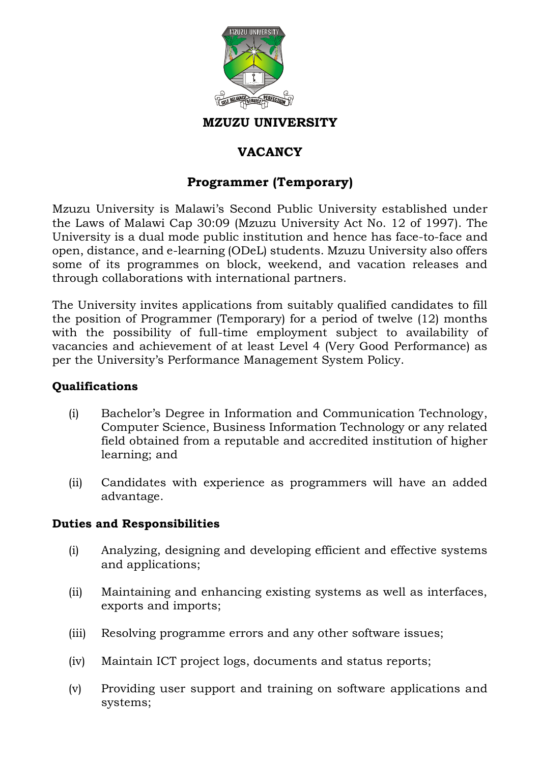

#### **MZUZU UNIVERSITY**

# **VACANCY**

## **Programmer (Temporary)**

Mzuzu University is Malawi's Second Public University established under the Laws of Malawi Cap 30:09 (Mzuzu University Act No. 12 of 1997). The University is a dual mode public institution and hence has face-to-face and open, distance, and e-learning (ODeL) students. Mzuzu University also offers some of its programmes on block, weekend, and vacation releases and through collaborations with international partners.

The University invites applications from suitably qualified candidates to fill the position of Programmer (Temporary) for a period of twelve (12) months with the possibility of full-time employment subject to availability of vacancies and achievement of at least Level 4 (Very Good Performance) as per the University's Performance Management System Policy.

#### **Qualifications**

- (i) Bachelor's Degree in Information and Communication Technology, Computer Science, Business Information Technology or any related field obtained from a reputable and accredited institution of higher learning; and
- (ii) Candidates with experience as programmers will have an added advantage.

#### **Duties and Responsibilities**

- (i) Analyzing, designing and developing efficient and effective systems and applications;
- (ii) Maintaining and enhancing existing systems as well as interfaces, exports and imports;
- (iii) Resolving programme errors and any other software issues;
- (iv) Maintain ICT project logs, documents and status reports;
- (v) Providing user support and training on software applications and systems;